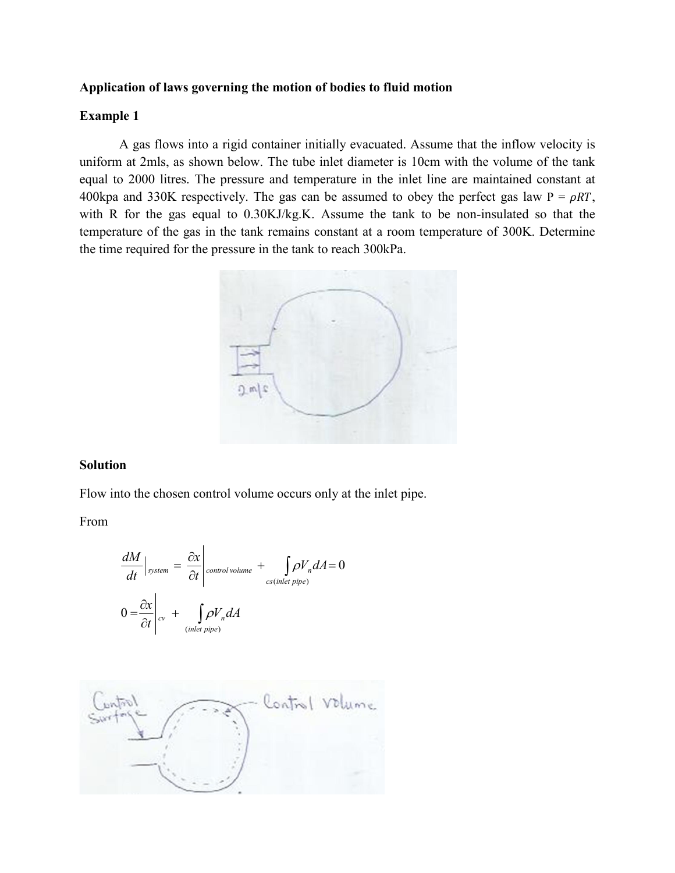# **Application of laws governing the motion of bodies to fluid motion**

# **Example 1**

A gas flows into a rigid container initially evacuated. Assume that the inflow velocity is uniform at 2mls, as shown below. The tube inlet diameter is 10cm with the volume of the tank equal to 2000 litres. The pressure and temperature in the inlet line are maintained constant at 400kpa and 330K respectively. The gas can be assumed to obey the perfect gas law  $P = \rho RT$ , with R for the gas equal to  $0.30KJ/kg$ . Assume the tank to be non-insulated so that the temperature of the gas in the tank remains constant at a room temperature of 300K. Determine the time required for the pressure in the tank to reach 300kPa.



# **Solution**

Flow into the chosen control volume occurs only at the inlet pipe.

From

$$
\frac{dM}{dt}\Big|_{system} = \frac{\partial x}{\partial t}\Big|_{control\, volume} + \int_{cs\,(inlet\, pipe)} \rho V_n dA = 0
$$
  

$$
0 = \frac{\partial x}{\partial t}\Big|_{cv} + \int_{(inlet\, pipe)} \rho V_n dA
$$

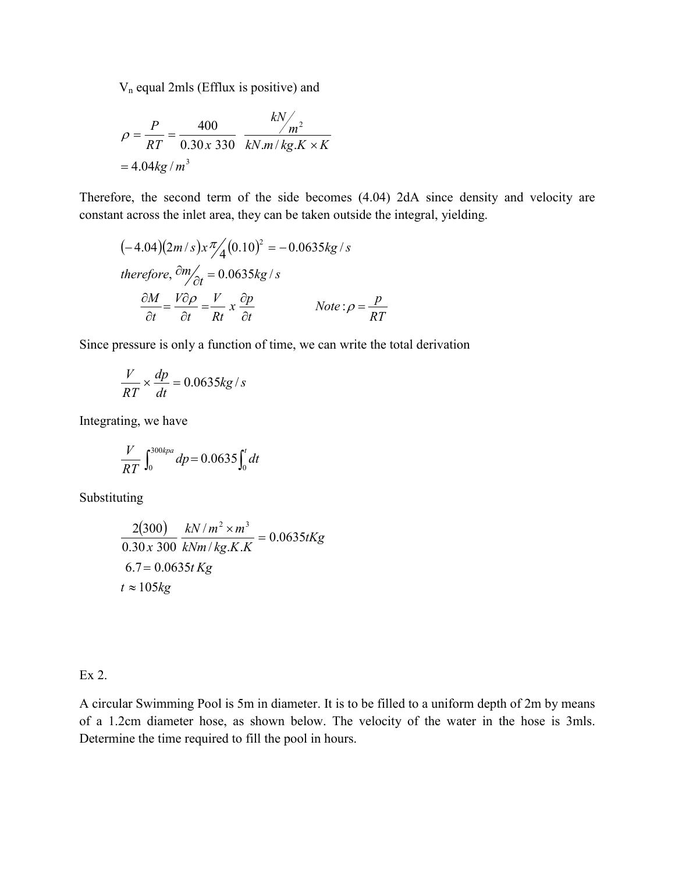Vn equal 2mls (Efflux is positive) and

$$
\rho = \frac{P}{RT} = \frac{400}{0.30 \times 330} \frac{kN}{kN.m/kg.K \times K}
$$
  
= 4.04kg/m<sup>3</sup>

Therefore, the second term of the side becomes (4.04) 2dA since density and velocity are constant across the inlet area, they can be taken outside the integral, yielding.

$$
(-4.04)(2m/s)x\frac{\pi}{4}(0.10)^2 = -0.0635kg/s
$$
  
therefore,  $\frac{\partial m}{\partial t} = 0.0635kg/s$   

$$
\frac{\partial M}{\partial t} = \frac{V\partial \rho}{\partial t} = \frac{V}{Rt}x\frac{\partial p}{\partial t}
$$
 Note:  $\rho = \frac{p}{RT}$ 

Since pressure is only a function of time, we can write the total derivation

$$
\frac{V}{RT} \times \frac{dp}{dt} = 0.0635 kg/s
$$

Integrating, we have

$$
\frac{V}{RT} \int_0^{300kpa} dp = 0.0635 \int_0^t dt
$$

**Substituting** 

$$
\frac{2(300)}{0.30 \times 300} \frac{kN/m^2 \times m^3}{kNm/kg.K.K} = 0.0635tKg
$$
  
6.7 = 0.0635t Kg  
 $t \approx 105kg$ 

Ex 2.

A circular Swimming Pool is 5m in diameter. It is to be filled to a uniform depth of 2m by means of a 1.2cm diameter hose, as shown below. The velocity of the water in the hose is 3mls. Determine the time required to fill the pool in hours.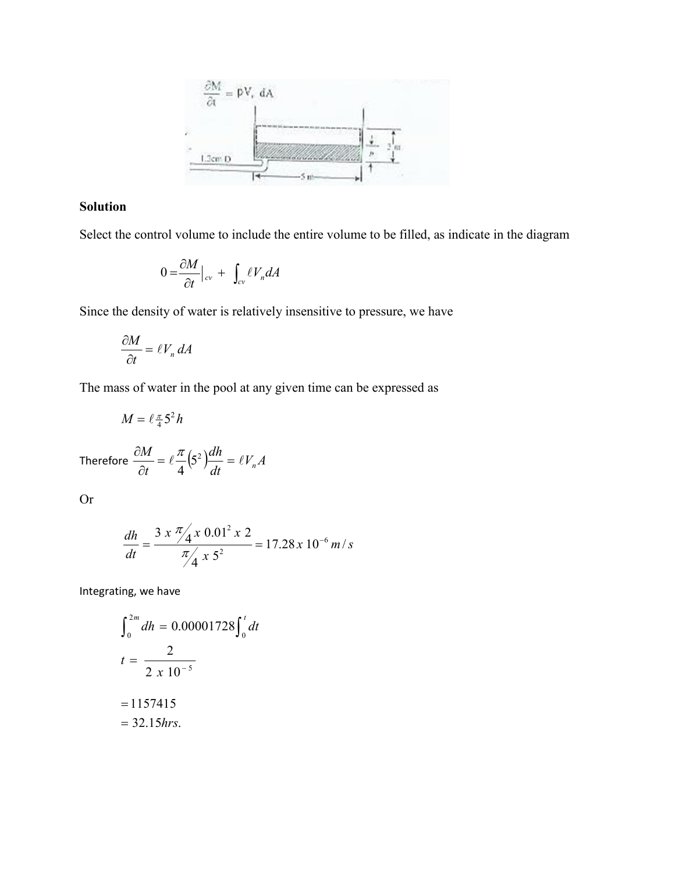

# **Solution**

Select the control volume to include the entire volume to be filled, as indicate in the diagram

$$
0 = \frac{\partial M}{\partial t}\big|_{cv} + \int_{cv} \ell V_n dA
$$

Since the density of water is relatively insensitive to pressure, we have

$$
\frac{\partial M}{\partial t} = \ell V_n \, dA
$$

The mass of water in the pool at any given time can be expressed as

$$
M=\ell \tfrac{\pi}{4} 5^2 h
$$

Therefore 
$$
\frac{\partial M}{\partial t} = \ell \frac{\pi}{4} (5^2) \frac{dh}{dt} = \ell V_n A
$$

Or

$$
\frac{dh}{dt} = \frac{3 \times \frac{\pi}{4} \times 0.01^2 \times 2}{\frac{\pi}{4} \times 5^2} = 17.28 \times 10^{-6} \, m/s
$$

Integrating, we have

$$
\int_0^{2m} dh = 0.00001728 \int_0^t dt
$$
  

$$
t = \frac{2}{2 \times 10^{-5}}
$$
  
= 1157415  
= 32.15 hrs.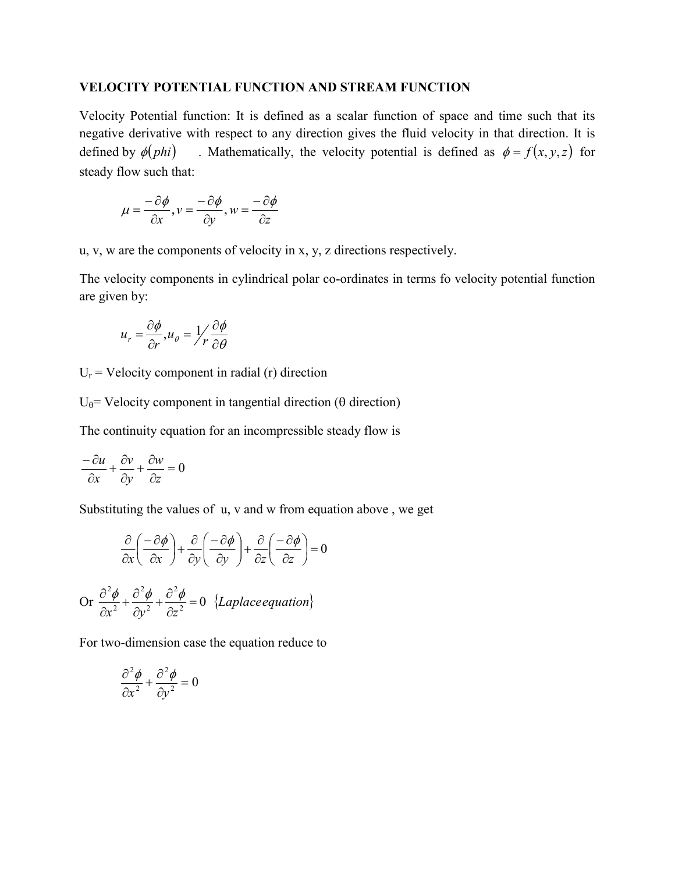# **VELOCITY POTENTIAL FUNCTION AND STREAM FUNCTION**

Velocity Potential function: It is defined as a scalar function of space and time such that its negative derivative with respect to any direction gives the fluid velocity in that direction. It is defined by  $\phi(\text{phi})$  . Mathematically, the velocity potential is defined as  $\phi = f(x, y, z)$  for steady flow such that:

$$
\mu = \frac{-\partial \phi}{\partial x}, v = \frac{-\partial \phi}{\partial y}, w = \frac{-\partial \phi}{\partial z}
$$

u, v, w are the components of velocity in x, y, z directions respectively.

The velocity components in cylindrical polar co-ordinates in terms fo velocity potential function are given by:

$$
u_r = \frac{\partial \phi}{\partial r}, u_\theta = \frac{1}{r} \frac{\partial \phi}{\partial \theta}
$$

 $U_r$  = Velocity component in radial (r) direction

 $U_{\theta}$ = Velocity component in tangential direction ( $\theta$  direction)

The continuity equation for an incompressible steady flow is

$$
\frac{-\partial u}{\partial x} + \frac{\partial v}{\partial y} + \frac{\partial w}{\partial z} = 0
$$

Substituting the values of u, v and w from equation above , we get

$$
\frac{\partial}{\partial x} \left( \frac{-\partial \phi}{\partial x} \right) + \frac{\partial}{\partial y} \left( \frac{-\partial \phi}{\partial y} \right) + \frac{\partial}{\partial z} \left( \frac{-\partial \phi}{\partial z} \right) = 0
$$

Or 
$$
\frac{\partial^2 \phi}{\partial x^2} + \frac{\partial^2 \phi}{\partial y^2} + \frac{\partial^2 \phi}{\partial z^2} = 0
$$
 {Laplace equation}

For two-dimension case the equation reduce to

$$
\frac{\partial^2 \phi}{\partial x^2} + \frac{\partial^2 \phi}{\partial y^2} = 0
$$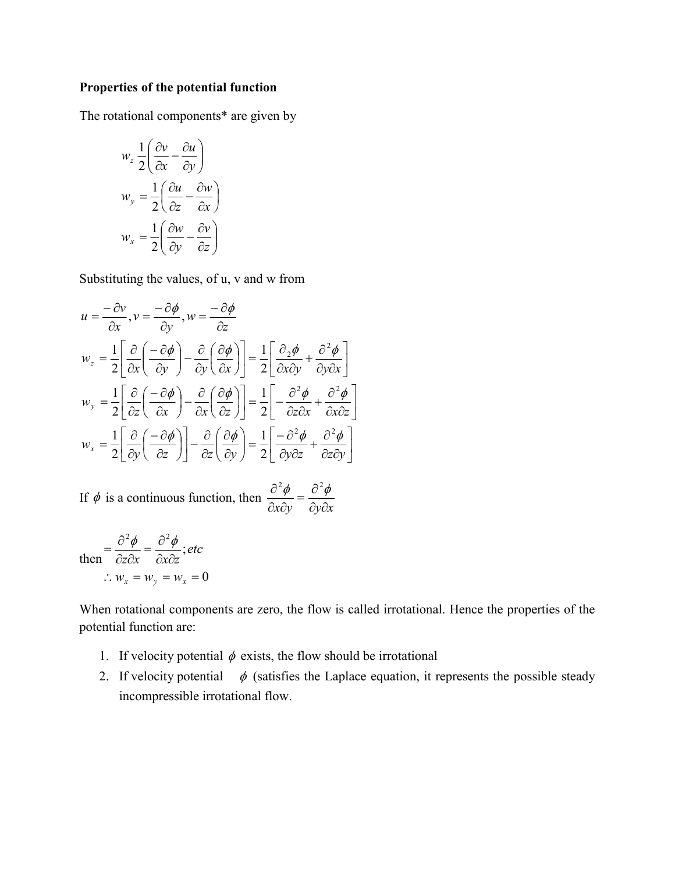# **Properties of the potential function**

The rotational components\* are given by

$$
w_z = \frac{1}{2} \left( \frac{\partial v}{\partial x} - \frac{\partial u}{\partial y} \right)
$$
  

$$
w_y = \frac{1}{2} \left( \frac{\partial u}{\partial z} - \frac{\partial w}{\partial x} \right)
$$
  

$$
w_x = \frac{1}{2} \left( \frac{\partial w}{\partial y} - \frac{\partial v}{\partial z} \right)
$$

Substituting the values, of u, v and w from

$$
u = \frac{-\partial v}{\partial x}, v = \frac{-\partial \phi}{\partial y}, w = \frac{-\partial \phi}{\partial z}
$$
  
\n
$$
w_z = \frac{1}{2} \left[ \frac{\partial}{\partial x} \left( \frac{-\partial \phi}{\partial y} \right) - \frac{\partial}{\partial y} \left( \frac{\partial \phi}{\partial x} \right) \right] = \frac{1}{2} \left[ \frac{\partial_2 \phi}{\partial x \partial y} + \frac{\partial^2 \phi}{\partial y \partial x} \right]
$$
  
\n
$$
w_y = \frac{1}{2} \left[ \frac{\partial}{\partial z} \left( \frac{-\partial \phi}{\partial x} \right) - \frac{\partial}{\partial x} \left( \frac{\partial \phi}{\partial z} \right) \right] = \frac{1}{2} \left[ -\frac{\partial^2 \phi}{\partial z \partial x} + \frac{\partial^2 \phi}{\partial x \partial z} \right]
$$
  
\n
$$
w_x = \frac{1}{2} \left[ \frac{\partial}{\partial y} \left( \frac{-\partial \phi}{\partial z} \right) \right] - \frac{\partial}{\partial z} \left( \frac{\partial \phi}{\partial y} \right) = \frac{1}{2} \left[ \frac{-\partial^2 \phi}{\partial y \partial z} + \frac{\partial^2 \phi}{\partial z \partial y} \right]
$$

If  $\phi$  is a continuous function, then  $\frac{\partial^2 \phi}{\partial x \partial y} = \frac{\partial^2 \phi}{\partial y \partial x}$ 

then 
$$
\frac{\partial^2 \phi}{\partial z \partial x} = \frac{\partial^2 \phi}{\partial x \partial z}; \text{etc}
$$

$$
\therefore w_x = w_y = w_x = 0
$$

When rotational components are zero, the flow is called irrotational. Hence the properties of the potential function are:

 $\overline{\phantom{a}}$  $\rfloor$ 

- 1. If velocity potential  $\phi$  exists, the flow should be irrotational
- 2. If velocity potential  $\phi$  (satisfies the Laplace equation, it represents the possible steady incompressible irrotational flow.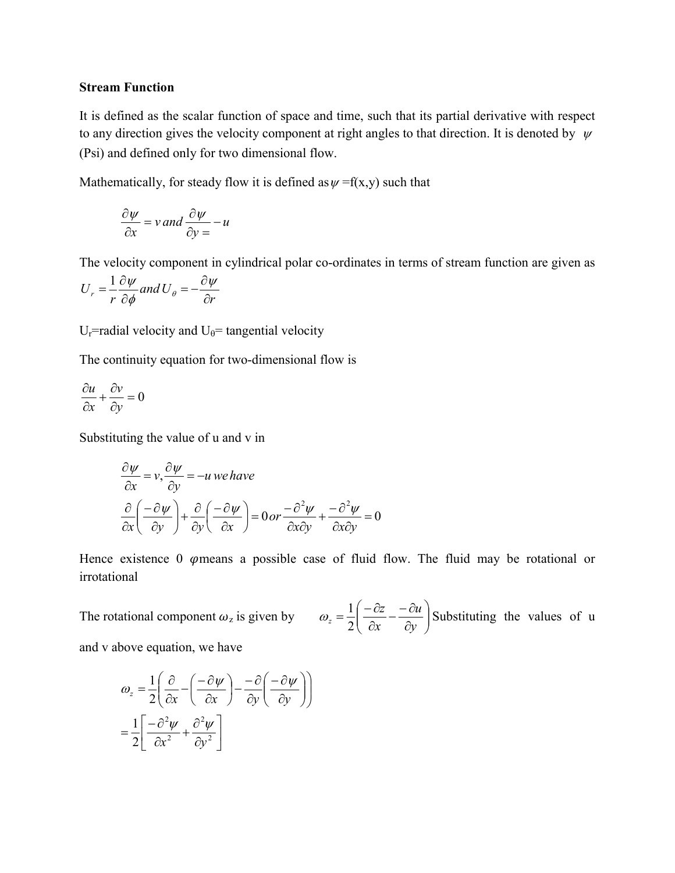#### **Stream Function**

It is defined as the scalar function of space and time, such that its partial derivative with respect to any direction gives the velocity component at right angles to that direction. It is denoted by  $\psi$ (Psi) and defined only for two dimensional flow.

Mathematically, for steady flow it is defined as  $\psi = f(x,y)$  such that

$$
\frac{\partial \psi}{\partial x} = v \text{ and } \frac{\partial \psi}{\partial y} = -u
$$

The velocity component in cylindrical polar co-ordinates in terms of stream function are given as

$$
U_r = \frac{1}{r} \frac{\partial \psi}{\partial \phi} \text{ and } U_\theta = -\frac{\partial \psi}{\partial r}
$$

 $U_r$ =radial velocity and  $U_\theta$ = tangential velocity

The continuity equation for two-dimensional flow is

$$
\frac{\partial u}{\partial x} + \frac{\partial v}{\partial y} = 0
$$

Substituting the value of u and v in

$$
\frac{\partial \psi}{\partial x} = v, \frac{\partial \psi}{\partial y} = -u \text{ we have}
$$

$$
\frac{\partial}{\partial x} \left( \frac{-\partial \psi}{\partial y} \right) + \frac{\partial}{\partial y} \left( \frac{-\partial \psi}{\partial x} \right) = 0 \text{ or } \frac{-\partial^2 \psi}{\partial x \partial y} + \frac{-\partial^2 \psi}{\partial x \partial y} = 0
$$

Hence existence  $0$   $\varphi$  means a possible case of fluid flow. The fluid may be rotational or irrotational

The rotational component  $\omega_z$  is given by  $\overline{\phantom{a}}$  $\bigg)$  $\mathcal{L}_{\mathcal{L}}$  $\overline{\phantom{a}}$  $\setminus$ ſ  $=\frac{1}{2}\left(\frac{-\partial z}{\partial x}-\frac{-\partial u}{\partial y}\right)$ *x z*  $\frac{z}{2}$  2  $\omega_z = \frac{1}{2} \left( \frac{-\partial z}{\partial z} - \frac{-\partial u}{\partial z} \right)$  Substituting the values of u and v above equation, we have

$$
\omega_z = \frac{1}{2} \left( \frac{\partial}{\partial x} - \left( \frac{-\partial \psi}{\partial x} \right) - \frac{-\partial}{\partial y} \left( \frac{-\partial \psi}{\partial y} \right) \right)
$$

$$
= \frac{1}{2} \left[ \frac{-\partial^2 \psi}{\partial x^2} + \frac{\partial^2 \psi}{\partial y^2} \right]
$$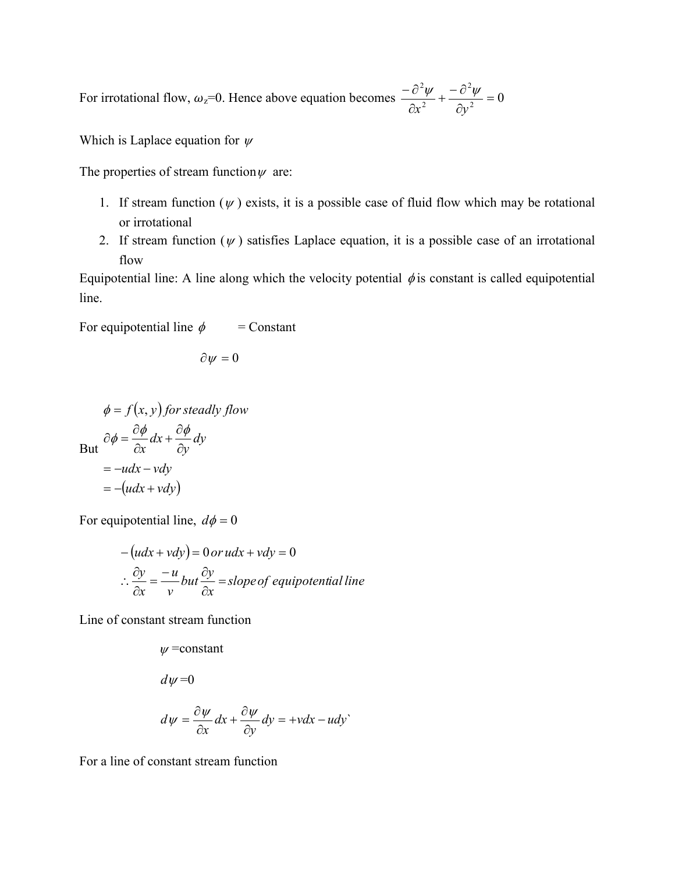For irrotational flow,  $\omega_z=0$ . Hence above equation becomes  $\frac{\omega \psi}{\partial x^2} + \frac{\omega \psi}{\partial y^2} = 0$ 2 2 2  $+\frac{-\partial^2 \psi}{\partial y^2} =$  $\partial$  $-\partial$  $x^2$  *dy*  $\psi$  -  $\sigma \psi$ 

Which is Laplace equation for  $\psi$ 

The properties of stream function  $\psi$  are:

- 1. If stream function  $(\psi)$  exists, it is a possible case of fluid flow which may be rotational or irrotational
- 2. If stream function  $(\psi)$  satisfies Laplace equation, it is a possible case of an irrotational flow

Equipotential line: A line along which the velocity potential  $\phi$  is constant is called equipotential line.

For equipotential line  $\phi$  = Constant

$$
\partial \psi = 0
$$

$$
\phi = f(x, y) \text{ for steady flow}
$$
  
But 
$$
\partial \phi = \frac{\partial \phi}{\partial x} dx + \frac{\partial \phi}{\partial y} dy
$$

$$
= -u dx - v dy
$$

$$
= -(u dx + v dy)
$$

For equipotential line,  $d\phi = 0$ 

$$
-(udx + vdy) = 0 \text{ or } udx + vdy = 0
$$
  
\n
$$
\therefore \frac{\partial y}{\partial x} = -\frac{u}{v} \text{ but } \frac{\partial y}{\partial x} = \text{slope of equipotential line}
$$

Line of constant stream function

 $\psi$ =constant

$$
d\psi = 0
$$

$$
d\psi = \frac{\partial \psi}{\partial x} dx + \frac{\partial \psi}{\partial y} dy = +v dx - u dy^{\circ}
$$

For a line of constant stream function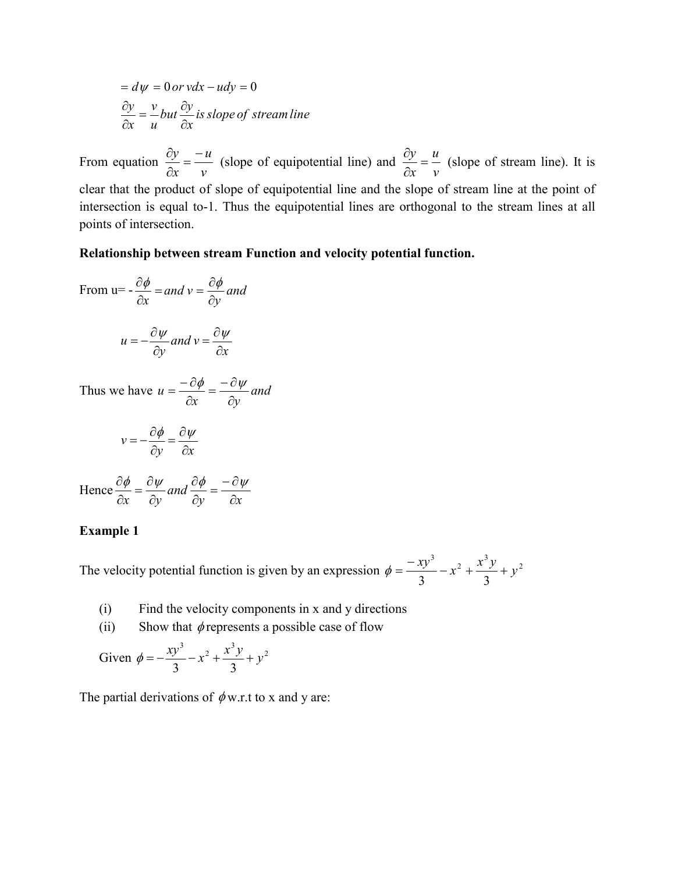$$
= d\psi = 0 \text{ or } vdx - udy = 0
$$
  

$$
\frac{\partial y}{\partial x} = \frac{v}{u} but \frac{\partial y}{\partial x} is slope of stream line
$$

From equation *v u*  $\frac{\partial y}{\partial x} = -\frac{u}{v}$  (slope of equipotential line) and *v u*  $\frac{\partial y}{\partial x} = \frac{u}{v}$  (slope of stream line). It is clear that the product of slope of equipotential line and the slope of stream line at the point of intersection is equal to-1. Thus the equipotential lines are orthogonal to the stream lines at all points of intersection.

#### **Relationship between stream Function and velocity potential function.**

From u=
$$
-\frac{\partial \phi}{\partial x}
$$
 = and  $v = \frac{\partial \phi}{\partial y}$  and

$$
u = -\frac{\partial \psi}{\partial y} \text{ and } v = \frac{\partial \psi}{\partial x}
$$

Thus we have  $u = \frac{dy}{2} = \frac{dy}{2}$  and *x dy u*  $=\frac{-\partial \phi}{\partial x} = \frac{-\partial \psi}{\partial y}$ 

$$
v = -\frac{\partial \phi}{\partial y} = \frac{\partial \psi}{\partial x}
$$

Hence 
$$
\frac{\partial \phi}{\partial x} = \frac{\partial \psi}{\partial y}
$$
 and  $\frac{\partial \phi}{\partial y} = \frac{-\partial \psi}{\partial x}$ 

#### **Example 1**

The velocity potential function is given by an expression  $\phi = \frac{-xy^3}{2} - x^2 + \frac{x^3y}{2} + y^2$  $\phi = \frac{-xy^3}{3} - x^2 + \frac{x^3y}{3} + y$ 

- (i) Find the velocity components in x and y directions
- (ii) Show that  $\phi$  represents a possible case of flow

Given 
$$
\phi = -\frac{xy^3}{3} - x^2 + \frac{x^3y}{3} + y^2
$$

The partial derivations of  $\phi$  w.r.t to x and y are: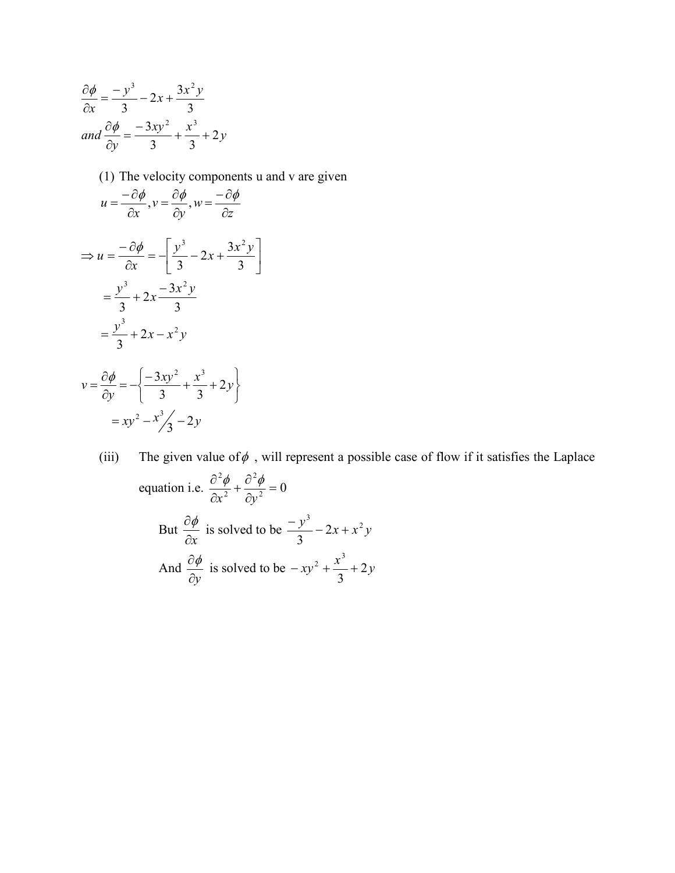$$
\frac{\partial \phi}{\partial x} = \frac{-y^3}{3} - 2x + \frac{3x^2y}{3}
$$
  
and 
$$
\frac{\partial \phi}{\partial y} = \frac{-3xy^2}{3} + \frac{x^3}{3} + 2y
$$

(1) The velocity components u and v are given

$$
u = \frac{-\partial \phi}{\partial x}, v = \frac{\partial \phi}{\partial y}, w = \frac{-\partial \phi}{\partial z}
$$
  
\n
$$
\Rightarrow u = \frac{-\partial \phi}{\partial x} = -\left[\frac{y^3}{3} - 2x + \frac{3x^2y}{3}\right]
$$
  
\n
$$
= \frac{y^3}{3} + 2x - \frac{3x^2y}{3}
$$
  
\n
$$
= \frac{y^3}{3} + 2x - x^2y
$$
  
\n
$$
v = \frac{\partial \phi}{\partial y} = -\left\{\frac{-3xy^2}{3} + \frac{x^3}{3} + 2y\right\}
$$
  
\n
$$
= xy^2 - x^3y - 2y
$$

(iii) The given value of  $\phi$ , will represent a possible case of flow if it satisfies the Laplace equation i.e.  $\frac{\partial \phi}{\partial x^2} + \frac{\partial \phi}{\partial y^2} = 0$ 2 2 2  $+\frac{\partial^2 \phi}{\partial y^2} =$  $\partial$  $\partial$  $x^2$  *dy*  $\phi$   $\partial^2 \phi$ But *x*  $\frac{\partial \phi}{\partial x}$  is solved to be  $\frac{-y^3}{2} - 2x + x^2y$  $\frac{-y^3}{3}$  – 2x + And *y*  $\frac{\partial \phi}{\partial x}$  is solved to be  $-xy^2 + \frac{x^3}{2} + 2y$ 3  $-xy^{2} + \frac{x^{3}}{2} +$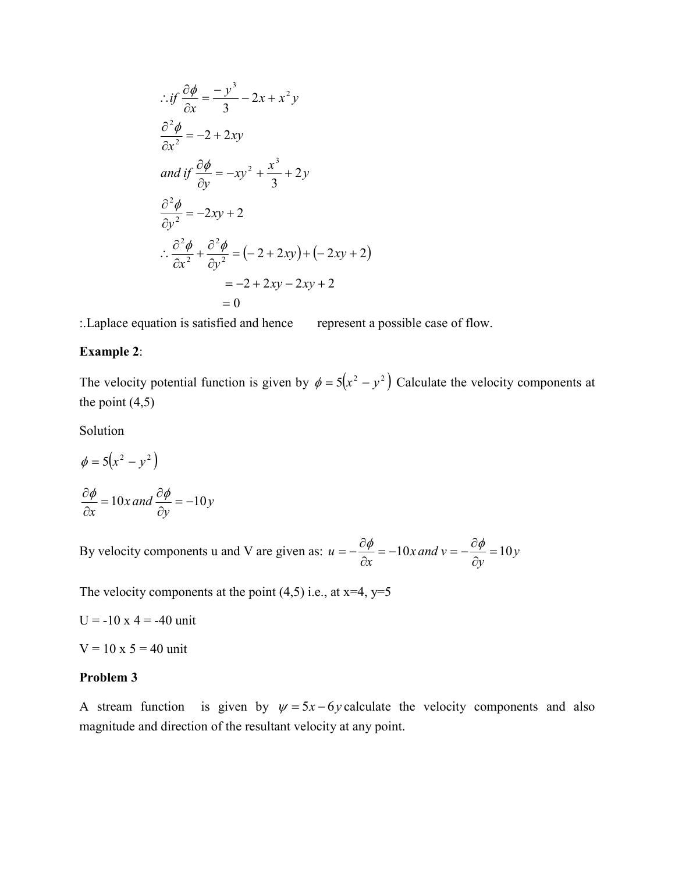$$
\therefore if \frac{\partial \phi}{\partial x} = \frac{-y^3}{3} - 2x + x^2 y
$$
  
\n
$$
\frac{\partial^2 \phi}{\partial x^2} = -2 + 2xy
$$
  
\nand if  $\frac{\partial \phi}{\partial y} = -xy^2 + \frac{x^3}{3} + 2y$   
\n
$$
\frac{\partial^2 \phi}{\partial y^2} = -2xy + 2
$$
  
\n
$$
\therefore \frac{\partial^2 \phi}{\partial x^2} + \frac{\partial^2 \phi}{\partial y^2} = (-2 + 2xy) + (-2xy + 2)
$$
  
\n
$$
= -2 + 2xy - 2xy + 2
$$
  
\n
$$
= 0
$$

:.Laplace equation is satisfied and hence represent a possible case of flow.

# **Example 2**:

The velocity potential function is given by  $\phi = 5(x^2 - y^2)$  Calculate the velocity components at the point  $(4,5)$ 

Solution

$$
\phi = 5(x^2 - y^2)
$$

$$
\frac{\partial \phi}{\partial x} = 10x \text{ and } \frac{\partial \phi}{\partial y} = -10y
$$

By velocity components u and V are given as:  $u = -\frac{dy}{2} = -10x$  and  $v = -\frac{dy}{2} = 10y$ *y x and v x*  $u = -\frac{v\psi}{2} = -10x$  and  $v = -\frac{v\psi}{2} = 10$  $=-\frac{\partial \phi}{\partial x} = -10x$  and  $v = -\frac{\partial \phi}{\partial y}$ 

The velocity components at the point  $(4,5)$  i.e., at x=4, y=5

 $U = -10 x 4 = -40$  unit

 $V = 10 \times 5 = 40$  unit

## **Problem 3**

A stream function is given by  $\psi = 5x - 6y$  calculate the velocity components and also magnitude and direction of the resultant velocity at any point.